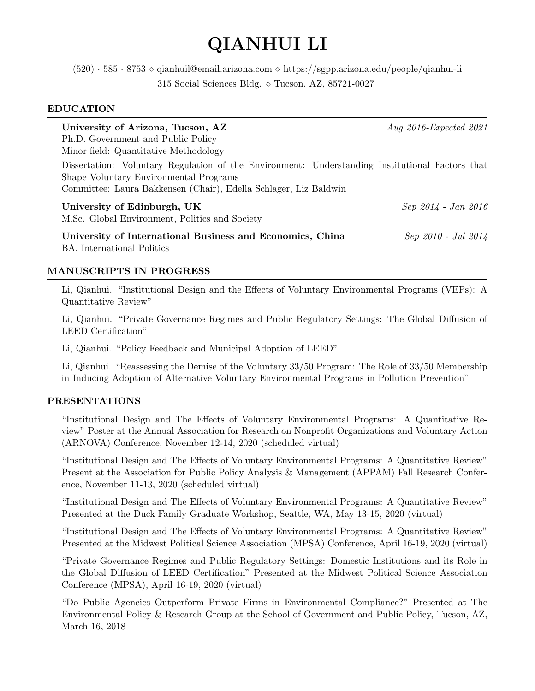# QIANHUI LI

 $(520) \cdot 585 \cdot 8753 \diamond$  qianhuil@email.arizona.com  $\diamond$  https://sgpp.arizona.edu/people/qianhui-li 315 Social Sciences Bldg.  $\circ$  Tucson, AZ, 85721-0027

## EDUCATION

| University of Arizona, Tucson, AZ<br>Ph.D. Government and Public Policy<br>Minor field: Quantitative Methodology                                                                                              | Aug $2016$ -Expected $2021$ |
|---------------------------------------------------------------------------------------------------------------------------------------------------------------------------------------------------------------|-----------------------------|
| Dissertation: Voluntary Regulation of the Environment: Understanding Institutional Factors that<br>Shape Voluntary Environmental Programs<br>Committee: Laura Bakkensen (Chair), Edella Schlager, Liz Baldwin |                             |
| University of Edinburgh, UK<br>M.Sc. Global Environment, Politics and Society                                                                                                                                 | $Sep 2014 - Jan 2016$       |
| University of International Business and Economics, China<br><b>BA.</b> International Politics                                                                                                                | Sep 2010 - Jul 2014         |

# MANUSCRIPTS IN PROGRESS

Li, Qianhui. "Institutional Design and the Effects of Voluntary Environmental Programs (VEPs): A Quantitative Review"

Li, Qianhui. "Private Governance Regimes and Public Regulatory Settings: The Global Diffusion of LEED Certification"

Li, Qianhui. "Policy Feedback and Municipal Adoption of LEED"

Li, Qianhui. "Reassessing the Demise of the Voluntary 33/50 Program: The Role of 33/50 Membership in Inducing Adoption of Alternative Voluntary Environmental Programs in Pollution Prevention"

## PRESENTATIONS

"Institutional Design and The Effects of Voluntary Environmental Programs: A Quantitative Review" Poster at the Annual Association for Research on Nonprofit Organizations and Voluntary Action (ARNOVA) Conference, November 12-14, 2020 (scheduled virtual)

"Institutional Design and The Effects of Voluntary Environmental Programs: A Quantitative Review" Present at the Association for Public Policy Analysis & Management (APPAM) Fall Research Conference, November 11-13, 2020 (scheduled virtual)

"Institutional Design and The Effects of Voluntary Environmental Programs: A Quantitative Review" Presented at the Duck Family Graduate Workshop, Seattle, WA, May 13-15, 2020 (virtual)

"Institutional Design and The Effects of Voluntary Environmental Programs: A Quantitative Review" Presented at the Midwest Political Science Association (MPSA) Conference, April 16-19, 2020 (virtual)

"Private Governance Regimes and Public Regulatory Settings: Domestic Institutions and its Role in the Global Diffusion of LEED Certification" Presented at the Midwest Political Science Association Conference (MPSA), April 16-19, 2020 (virtual)

"Do Public Agencies Outperform Private Firms in Environmental Compliance?" Presented at The Environmental Policy & Research Group at the School of Government and Public Policy, Tucson, AZ, March 16, 2018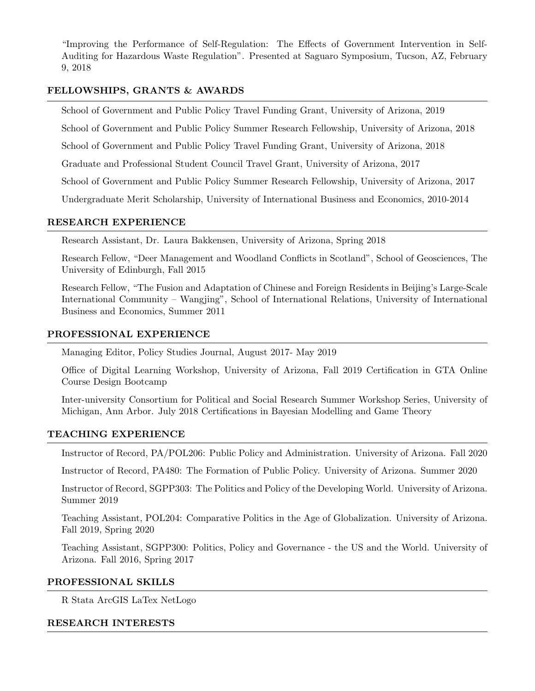"Improving the Performance of Self-Regulation: The Effects of Government Intervention in Self-Auditing for Hazardous Waste Regulation". Presented at Saguaro Symposium, Tucson, AZ, February 9, 2018

## FELLOWSHIPS, GRANTS & AWARDS

School of Government and Public Policy Travel Funding Grant, University of Arizona, 2019

School of Government and Public Policy Summer Research Fellowship, University of Arizona, 2018

School of Government and Public Policy Travel Funding Grant, University of Arizona, 2018

Graduate and Professional Student Council Travel Grant, University of Arizona, 2017

School of Government and Public Policy Summer Research Fellowship, University of Arizona, 2017

Undergraduate Merit Scholarship, University of International Business and Economics, 2010-2014

## RESEARCH EXPERIENCE

Research Assistant, Dr. Laura Bakkensen, University of Arizona, Spring 2018

Research Fellow, "Deer Management and Woodland Conflicts in Scotland", School of Geosciences, The University of Edinburgh, Fall 2015

Research Fellow, "The Fusion and Adaptation of Chinese and Foreign Residents in Beijing's Large-Scale International Community – Wangjing", School of International Relations, University of International Business and Economics, Summer 2011

## PROFESSIONAL EXPERIENCE

Managing Editor, Policy Studies Journal, August 2017- May 2019

Office of Digital Learning Workshop, University of Arizona, Fall 2019 Certification in GTA Online Course Design Bootcamp

Inter-university Consortium for Political and Social Research Summer Workshop Series, University of Michigan, Ann Arbor. July 2018 Certifications in Bayesian Modelling and Game Theory

## TEACHING EXPERIENCE

Instructor of Record, PA/POL206: Public Policy and Administration. University of Arizona. Fall 2020

Instructor of Record, PA480: The Formation of Public Policy. University of Arizona. Summer 2020

Instructor of Record, SGPP303: The Politics and Policy of the Developing World. University of Arizona. Summer 2019

Teaching Assistant, POL204: Comparative Politics in the Age of Globalization. University of Arizona. Fall 2019, Spring 2020

Teaching Assistant, SGPP300: Politics, Policy and Governance - the US and the World. University of Arizona. Fall 2016, Spring 2017

## PROFESSIONAL SKILLS

R Stata ArcGIS LaTex NetLogo

## RESEARCH INTERESTS